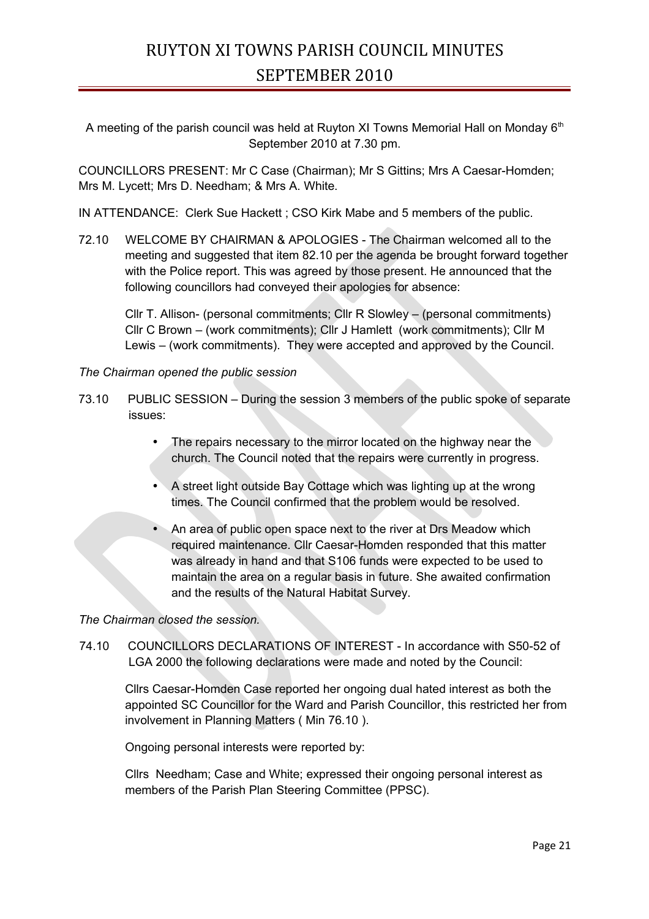# RUYTON XI TOWNS PARISH COUNCIL MINUTES SEPTEMBER 2010

A meeting of the parish council was held at Ruyton XI Towns Memorial Hall on Monday 6<sup>th</sup> September 2010 at 7.30 pm.

COUNCILLORS PRESENT: Mr C Case (Chairman); Mr S Gittins; Mrs A Caesar-Homden; Mrs M. Lycett; Mrs D. Needham; & Mrs A. White.

IN ATTENDANCE: Clerk Sue Hackett ; CSO Kirk Mabe and 5 members of the public.

72.10 WELCOME BY CHAIRMAN & APOLOGIES - The Chairman welcomed all to the meeting and suggested that item 82.10 per the agenda be brought forward together with the Police report. This was agreed by those present. He announced that the following councillors had conveyed their apologies for absence:

Cllr T. Allison- (personal commitments; Cllr R Slowley – (personal commitments) Cllr C Brown – (work commitments); Cllr J Hamlett (work commitments); Cllr M Lewis – (work commitments). They were accepted and approved by the Council.

## *The Chairman opened the public session*

- 73.10 PUBLIC SESSION During the session 3 members of the public spoke of separate issues:
	- The repairs necessary to the mirror located on the highway near the church. The Council noted that the repairs were currently in progress.
	- A street light outside Bay Cottage which was lighting up at the wrong times. The Council confirmed that the problem would be resolved.
	- An area of public open space next to the river at Drs Meadow which required maintenance. Cllr Caesar-Homden responded that this matter was already in hand and that S106 funds were expected to be used to maintain the area on a regular basis in future. She awaited confirmation and the results of the Natural Habitat Survey.

*The Chairman closed the session.*

74.10 COUNCILLORS DECLARATIONS OF INTEREST - In accordance with S50-52 of LGA 2000 the following declarations were made and noted by the Council:

Cllrs Caesar-Homden Case reported her ongoing dual hated interest as both the appointed SC Councillor for the Ward and Parish Councillor, this restricted her from involvement in Planning Matters ( Min 76.10 ).

Ongoing personal interests were reported by:

Cllrs Needham; Case and White; expressed their ongoing personal interest as members of the Parish Plan Steering Committee (PPSC).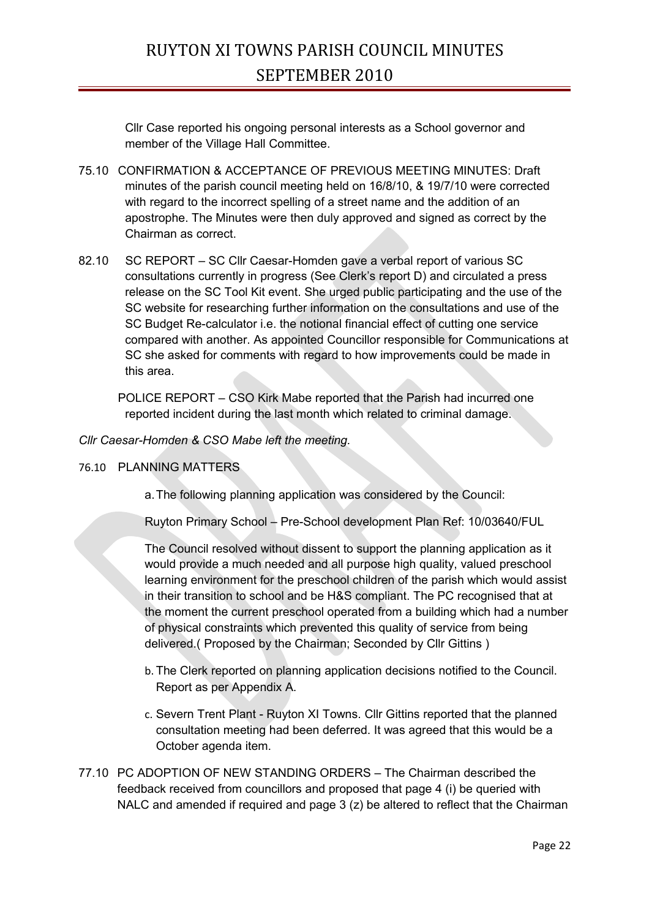Cllr Case reported his ongoing personal interests as a School governor and member of the Village Hall Committee.

- 75.10 CONFIRMATION & ACCEPTANCE OF PREVIOUS MEETING MINUTES: Draft minutes of the parish council meeting held on 16/8/10, & 19/7/10 were corrected with regard to the incorrect spelling of a street name and the addition of an apostrophe. The Minutes were then duly approved and signed as correct by the Chairman as correct.
- 82.10 SC REPORT SC Cllr Caesar-Homden gave a verbal report of various SC consultations currently in progress (See Clerk's report D) and circulated a press release on the SC Tool Kit event. She urged public participating and the use of the SC website for researching further information on the consultations and use of the SC Budget Re-calculator i.e. the notional financial effect of cutting one service compared with another. As appointed Councillor responsible for Communications at SC she asked for comments with regard to how improvements could be made in this area.

POLICE REPORT – CSO Kirk Mabe reported that the Parish had incurred one reported incident during the last month which related to criminal damage.

*Cllr Caesar-Homden & CSO Mabe left the meeting.*

## 76.10 PLANNING MATTERS

a.The following planning application was considered by the Council:

Ruyton Primary School – Pre-School development Plan Ref: 10/03640/FUL

The Council resolved without dissent to support the planning application as it would provide a much needed and all purpose high quality, valued preschool learning environment for the preschool children of the parish which would assist in their transition to school and be H&S compliant. The PC recognised that at the moment the current preschool operated from a building which had a number of physical constraints which prevented this quality of service from being delivered.( Proposed by the Chairman; Seconded by Cllr Gittins )

- b. The Clerk reported on planning application decisions notified to the Council. Report as per Appendix A.
- c. Severn Trent Plant Ruyton XI Towns. Cllr Gittins reported that the planned consultation meeting had been deferred. It was agreed that this would be a October agenda item.
- 77.10 PC ADOPTION OF NEW STANDING ORDERS The Chairman described the feedback received from councillors and proposed that page 4 (i) be queried with NALC and amended if required and page  $3$  (z) be altered to reflect that the Chairman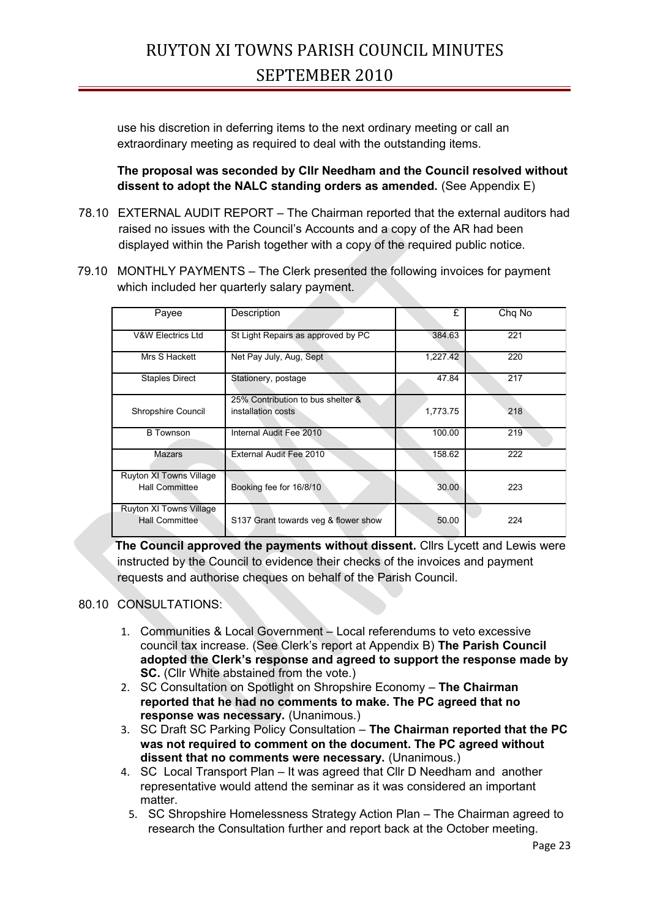use his discretion in deferring items to the next ordinary meeting or call an extraordinary meeting as required to deal with the outstanding items.

**The proposal was seconded by Cllr Needham and the Council resolved without dissent to adopt the NALC standing orders as amended.** (See Appendix E)

- 78.10 EXTERNAL AUDIT REPORT The Chairman reported that the external auditors had raised no issues with the Council's Accounts and a copy of the AR had been displayed within the Parish together with a copy of the required public notice.
- 79.10 MONTHLY PAYMENTS The Clerk presented the following invoices for payment which included her quarterly salary payment.

| Payee                                            | Description                                             | £        | Chq No |
|--------------------------------------------------|---------------------------------------------------------|----------|--------|
| <b>V&amp;W Electrics Ltd</b>                     | St Light Repairs as approved by PC                      | 384.63   | 221    |
| Mrs S Hackett                                    | Net Pay July, Aug, Sept                                 | 1,227.42 | 220    |
| <b>Staples Direct</b>                            | Stationery, postage                                     | 47.84    | 217    |
| Shropshire Council                               | 25% Contribution to bus shelter &<br>installation costs | 1,773.75 | 218    |
| <b>B</b> Townson                                 | Internal Audit Fee 2010                                 | 100.00   | 219    |
| Mazars                                           | External Audit Fee 2010                                 | 158.62   | 222    |
| Ruyton XI Towns Village<br><b>Hall Committee</b> | Booking fee for 16/8/10                                 | 30.00    | 223    |
| Ruyton XI Towns Village<br><b>Hall Committee</b> | S137 Grant towards veg & flower show                    | 50.00    | 224    |

 **The Council approved the payments without dissent.** Cllrs Lycett and Lewis were instructed by the Council to evidence their checks of the invoices and payment requests and authorise cheques on behalf of the Parish Council.

## 80.10 CONSULTATIONS:

- 1. Communities & Local Government Local referendums to veto excessive council tax increase. (See Clerk's report at Appendix B) **The Parish Council adopted the Clerk's response and agreed to support the response made by SC.** (Cllr White abstained from the vote.)
- 2. SC Consultation on Spotlight on Shropshire Economy **The Chairman reported that he had no comments to make. The PC agreed that no response was necessary.** (Unanimous.)
- 3. SC Draft SC Parking Policy Consultation **The Chairman reported that the PC was not required to comment on the document. The PC agreed without dissent that no comments were necessary.** (Unanimous.)
- 4. SC Local Transport Plan It was agreed that Cllr D Needham and another representative would attend the seminar as it was considered an important matter.
	- 5. SC Shropshire Homelessness Strategy Action Plan The Chairman agreed to research the Consultation further and report back at the October meeting.